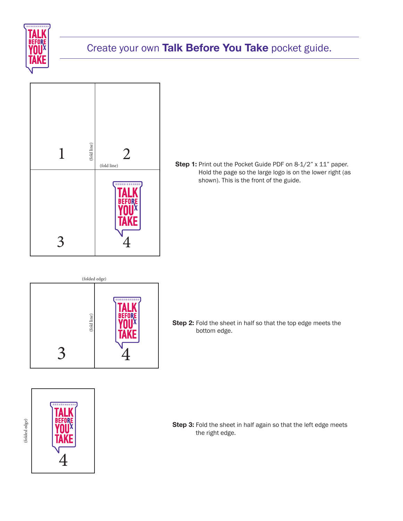

## Create your own **Talk Before You Take** pocket guide.



**Step 1:** Print out the Pocket Guide PDF on 8-1/2" x 11" paper. Hold the page so the large logo is on the lower right (as shown). This is the front of the guide.



**Step 2:** Fold the sheet in half so that the top edge meets the bottom edge.



**Step 3:** Fold the sheet in half again so that the left edge meets the right edge.